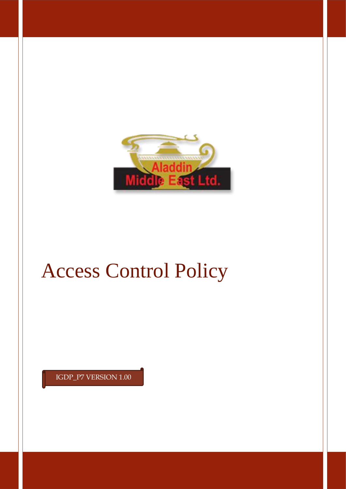

# Access Control Policy

IGDP\_P7 VERSION 1.00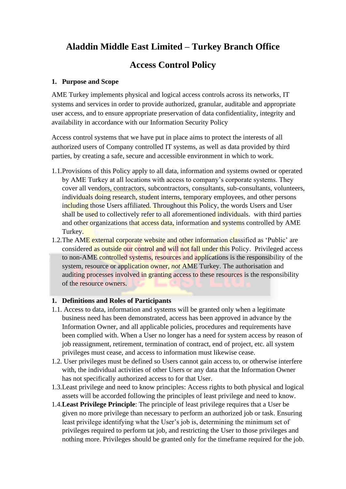# **Aladdin Middle East Limited – Turkey Branch Office**

# **Access Control Policy**

#### **1. Purpose and Scope**

AME Turkey implements physical and logical access controls across its networks, IT systems and services in order to provide authorized, granular, auditable and appropriate user access, and to ensure appropriate preservation of data confidentiality, integrity and availability in accordance with our Information Security Policy

Access control systems that we have put in place aims to protect the interests of all authorized users of Company controlled IT systems, as well as data provided by third parties, by creating a safe, secure and accessible environment in which to work.

- 1.1.Provisions of this Policy apply to all data, information and systems owned or operated by AME Turkey at all locations with access to company's corporate systems. They cover all vendors, contractors, subcontractors, consultants, sub-consultants, volunteers, individuals doing research, student interns, temporary employees, and other persons including those Users affiliated. Throughout this Policy, the words Users and User shall be used to collectively refer to all aforementioned individuals. with third parties and other organizations that access data, information and systems controlled by AME Turkey.
- 1.2. The AME external corporate website and other information classified as 'Public' are considered as outside our control and will not fall under this Policy. Privileged access to non-AME controlled systems, resources and applications is the responsibility of the system, resource or application owner, *not* AME Turkey. The authorisation and auditing processes involved in granting access to these resources is the responsibility of the resource owners.

## **1. Definitions and Roles of Participants**

- 1.1. Access to data, information and systems will be granted only when a legitimate business need has been demonstrated, access has been approved in advance by the Information Owner, and all applicable policies, procedures and requirements have been complied with. When a User no longer has a need for system access by reason of job reassignment, retirement, termination of contract, end of project, etc. all system privileges must cease, and access to information must likewise cease.
- 1.2. User privileges must be defined so Users cannot gain access to, or otherwise interfere with, the individual activities of other Users or any data that the Information Owner has not specifically authorized access to for that User.
- 1.3.Least privilege and need to know principles: Access rights to both physical and logical assets will be accorded following the principles of least privilege and need to know.
- 1.4.**Least Privilege Principle**: The principle of least privilege requires that a User be given no more privilege than necessary to perform an authorized job or task. Ensuring least privilege identifying what the User's job is, determining the minimum set of privileges required to perform tat job, and restricting the User to those privileges and nothing more. Privileges should be granted only for the timeframe required for the job.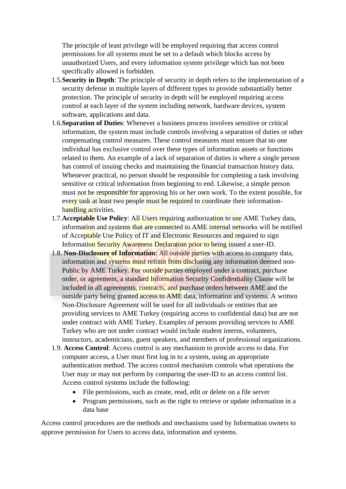The principle of least privilege will be employed requiring that access control permissions for all systems must be set to a default which blocks access by unauthorized Users, and every information system privilege which has not been specifically allowed is forbidden.

- 1.5.**Security in Depth**: The principle of security in depth refers to the implementation of a security defense in multiple layers of different types to provide substantially better protection. The principle of security in depth will be employed requiring access control at each layer of the system including network, hardware devices, system software, applications and data.
- 1.6.**Separation of Duties**: Whenever a business process involves sensitive or critical information, the system must include controls involving a separation of duties or other compensating control measures. These control measures must ensure that no one individual has exclusive control over these types of information assets or functions related to them. An example of a lack of separation of duties is where a single person has control of issuing checks and maintaining the financial transaction history data. Whenever practical, no person should be responsible for completing a task involving sensitive or critical information from beginning to end. Likewise, a simple person must not be responsible for approving his or her own work. To the extent possible, for every task at least two people must be required to coordinate their informationhandling activities.
- 1.7.**Acceptable Use Policy**: All Users requiring authorization to use AME Turkey data, information and systems that are connected to AME internal networks will be notified of Acceptable Use Policy of IT and Electronic Resources and required to sign Information Security Awareness Declaration prior to being issued a user-ID.
- 1.8. **Non-Disclosure of Information**: All outside parties with access to company data, information and systems must refrain from disclosing any information deemed non-Public by AME Turkey. For outside parties employed under a contract, purchase order, or agreement, a standard Information Security Confidentiality Clause will be included in all agreements, contracts, and purchase orders between AME and the outside party being granted access to AME data, information and systems. A written Non-Disclosure Agreement will be used for all individuals or entities that are providing services to AME Turkey (requiring access to confidential data) but are not under contract with AME Turkey. Examples of persons providing services to AME Turkey who are not under contract would include student interns, volunteers, instructors, academicians, guest speakers, and members of professional organizations.
- 1.9. **Access Control**: Access control is any mechanism to provide access to data. For computer access, a User must first log in to a system, using an appropriate authentication method. The access control mechanism controls what operations the User may or may not perform by comparing the user-ID to an access control list. Access control systems include the following:
	- File permissions, such as create, read, edit or delete on a file server
	- Program permissions, such as the right to retrieve or update information in a data base

Access control procedures are the methods and mechanisms used by Information owners to approve permission for Users to access data, information and systems.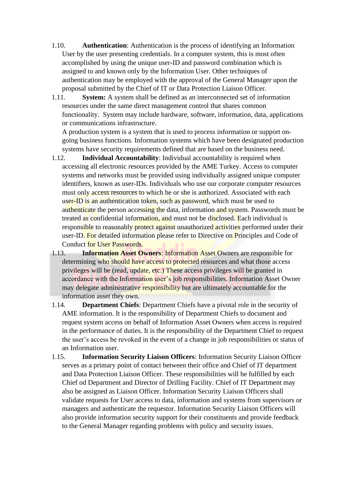- 1.10. **Authentication**: Authentication is the process of identifying an Information User by the user presenting credentials. In a computer system, this is most often accomplished by using the unique user-ID and password combination which is assigned to and known only by the Information User. Other techniques of authentication may be employed with the approval of the General Manager upon the proposal submitted by the Chief of IT or Data Protection Liaison Officer.
- 1.11. **System:** A system shall be defined as an interconnected set of information resources under the same direct management control that shares common functionality. System may include hardware, software, information, data, applications or communications infrastructure.

A production system is a system that is used to process information or support ongoing business functions. Information systems which have been designated production systems have security requirements defined that are based on the business need.

- 1.12. **Individual Accountability**: Individual accountability is required when accessing all electronic resources provided by the AME Turkey. Access to computer systems and networks must be provided using individually assigned unique computer identifiers, known as user-IDs. Individuals who use our corporate computer resources must only access resources to which he or she is authorized. Associated with each user-ID is an authentication token, such as password, which must be used to authenticate the person accessing the data, information and system. Passwords must be treated as confidential information, and must not be disclosed. Each individual is responsible to reasonably protect against unauthorized activities performed under their user-ID. For detailed information please refer to Directive on Principles and Code of Conduct for User Passwords.
- 1.13. **Information Asset Owners**: Information Asset Owners are responsible for determining who should have access to protected resources and what those access privileges will be (read, update, etc.) These access privileges will be granted in accordance with the Information user's job responsibilities. Information Asset Owner may delegate administrative responsibility but are ultimately accountable for the information asset they own.
- 1.14. **Department Chiefs**: Department Chiefs have a pivotal role in the security of AME information. It is the responsibility of Department Chiefs to document and request system access on behalf of Information Asset Owners when access is required in the performance of duties. It is the responsibility of the Department Chief to request the user's access be revoked in the event of a change in job responsibilities or status of an Information user.
- 1.15. **Information Security Liaison Officers**: Information Security Liaison Officer serves as a primary point of contact between their office and Chief of IT department and Data Protection Liaison Officer. These responsibilities will be fulfilled by each Chief od Department and Director of Drilling Facility. Chief of IT Department may also be assigned as Liaison Officer. Information Security Liaison Officers shall validate requests for User access to data, information and systems from supervisors or managers and authenticate the requestor. Information Security Liaison Officers will also provide information security support for their constituents and provide feedback to the General Manager regarding problems with policy and security issues.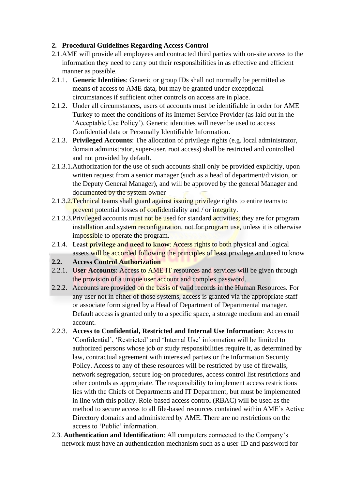### **2. Procedural Guidelines Regarding Access Control**

- 2.1.AME will provide all employees and contracted third parties with on-site access to the information they need to carry out their responsibilities in as effective and efficient manner as possible.
- 2.1.1. **Generic Identities**: Generic or group IDs shall not normally be permitted as means of access to AME data, but may be granted under exceptional circumstances if sufficient other controls on access are in place.
- 2.1.2. Under all circumstances, users of accounts must be identifiable in order for AME Turkey to meet the conditions of its Internet Service Provider (as laid out in the 'Acceptable Use Policy'). Generic identities will never be used to access Confidential data or Personally Identifiable Information.
- 2.1.3. **Privileged Accounts**: The allocation of privilege rights (e.g. local administrator, domain administrator, super-user, root access) shall be restricted and controlled and not provided by default.
- 2.1.3.1.Authorization for the use of such accounts shall only be provided explicitly, upon written request from a senior manager (such as a head of department/division, or the Deputy General Manager), and will be approved by the general Manager and documented by the system owner
- 2.1.3.2. Technical teams shall guard against issuing privilege rights to entire teams to prevent potential losses of confidentiality and / or integrity.
- 2.1.3.3. Privileged accounts must not be used for standard activities; they are for program installation and system reconfiguration, not for program use, unless it is otherwise impossible to operate the program.
- 2.1.4. **Least privilege and need to know**: Access rights to both physical and logical assets will be accorded following the principles of least privilege and need to know
- **2.2. Access Control Authorization**
- 2.2.1. **User Accounts**: Access to AME IT resources and services will be given through the provision of a unique user account and complex password.
- 2.2.2. Accounts are provided on the basis of valid records in the Human Resources. For any user not in either of those systems, access is granted via the appropriate staff or associate form signed by a Head of Department of Departmental manager. Default access is granted only to a specific space, a storage medium and an email account.
- 2.2.3. **Access to Confidential, Restricted and Internal Use Information**: Access to 'Confidential', 'Restricted' and 'Internal Use' information will be limited to authorized persons whose job or study responsibilities require it, as determined by law, contractual agreement with interested parties or the Information Security Policy. Access to any of these resources will be restricted by use of firewalls, network segregation, secure log-on procedures, access control list restrictions and other controls as appropriate. The responsibility to implement access restrictions lies with the Chiefs of Departments and IT Department, but must be implemented in line with this policy. Role-based access control (RBAC) will be used as the method to secure access to all file-based resources contained within AME's Active Directory domains and administered by AME. There are no restrictions on the access to 'Public' information.
- 2.3. **Authentication and Identification**: All computers connected to the Company's network must have an authentication mechanism such as a user-ID and password for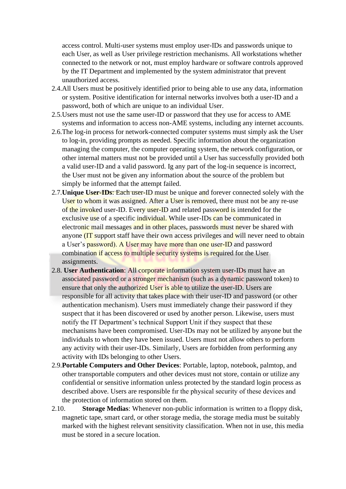access control. Multi-user systems must employ user-IDs and passwords unique to each User, as well as User privilege restriction mechanisms. All workstations whether connected to the network or not, must employ hardware or software controls approved by the IT Department and implemented by the system administrator that prevent unauthorized access.

- 2.4.All Users must be positively identified prior to being able to use any data, information or system. Positive identification for internal networks involves both a user-ID and a password, both of which are unique to an individual User.
- 2.5.Users must not use the same user-ID or password that they use for access to AME systems and information to access non-AME systems, including any internet accounts.
- 2.6.The log-in process for network-connected computer systems must simply ask the User to log-in, providing prompts as needed. Specific information about the organization managing the computer, the computer operating system, the network configuration, or other internal matters must not be provided until a User has successfully provided both a valid user-ID and a valid password. Ig any part of the log-in sequence is incorrect, the User must not be given any information about the source of the problem but simply be informed that the attempt failed.
- 2.7.**Unique User-IDs**: Each user-ID must be unique and forever connected solely with the User to whom it was assigned. After a User is removed, there must not be any re-use of the invoked user-ID. Every user-ID and related password is intended for the exclusive use of a specific individual. While user-IDs can be communicated in electronic mail messages and in other places, passwords must never be shared with anyone (IT support staff have their own access privileges and will never need to obtain a User's password). A User may have more than one user-ID and password combination if access to multiple security systems is required for the User assignments.
- 2.8. **User Authentication**: All corporate information system user-IDs must have an associated password or a stronger mechanism (such as a dynamic password token) to ensure that only the authorized User is able to utilize the user-ID. Users are responsible for all activity that takes place with their user-ID and password (or other authentication mechanism). Users must immediately change their password if they suspect that it has been discovered or used by another person. Likewise, users must notify the IT Department's technical Support Unit if they suspect that these mechanisms have been compromised. User-IDs may not be utilized by anyone but the individuals to whom they have been issued. Users must not allow others to perform any activity with their user-IDs. Similarly, Users are forbidden from performing any activity with IDs belonging to other Users.
- 2.9.**Portable Computers and Other Devices**: Portable, laptop, notebook, palmtop, and other transportable computers and other devices must not store, contain or utilize any confidential or sensitive information unless protected by the standard login process as described above. Users are responsible fır the physical security of these devices and the protection of information stored on them.
- 2.10. **Storage Medias**: Whenever non-public information is written to a floppy disk, magnetic tape, smart card, or other storage media, the storage media must be suitably marked with the highest relevant sensitivity classification. When not in use, this media must be stored in a secure location.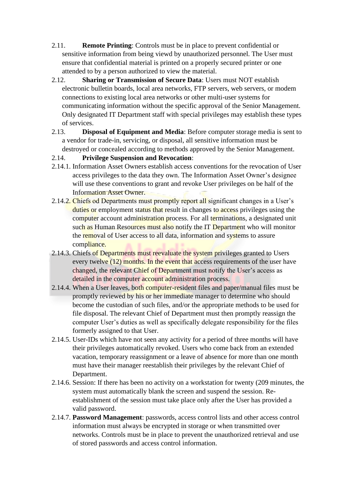- 2.11. **Remote Printing**: Controls must be in place to prevent confidential or sensitive information from being viewd by unauthorized personnel. The User must ensure that confidential material is printed on a properly secured printer or one attended to by a person authorized to view the material.
- 2.12. **Sharing or Transmission of Secure Data**: Users must NOT establish electronic bulletin boards, local area networks, FTP servers, web servers, or modem connections to existing local area networks or other multi-user systems for communicating information without the specific approval of the Senior Management. Only designated IT Department staff with special privileges may establish these types of services.
- 2.13. **Disposal of Equipment and Media**: Before computer storage media is sent to a vendor for trade-in, servicing, or disposal, all sensitive information must be destroyed or concealed according to methods approved by the Senior Management.
- 2.14. **Privilege Suspension and Revocation**:
- 2.14.1. Information Asset Owners establish access conventions for the revocation of User access privileges to the data they own. The Information Asset Owner's designee will use these conventions to grant and revoke User privileges on be half of the Information Asset Owner.
- 2.14.2. Chiefs od Departments must promptly report all significant changes in a User's duties or employment status that result in changes to access privileges using the computer account administration process. For all terminations, a designated unit such as Human Resources must also notify the IT Department who will monitor the removal of User access to all data, information and systems to assure compliance.
- 2.14.3. Chiefs of Departments must reevaluate the system privileges granted to Users every twelve (12) months. In the event that access requirements of the user have changed, the relevant Chief of Department must notify the User's access as detailed in the computer account administration process.
- 2.14.4. When a User leaves, both computer-resident files and paper/manual files must be promptly reviewed by his or her immediate manager to determine who should become the custodian of such files, and/or the appropriate methods to be used for file disposal. The relevant Chief of Department must then promptly reassign the computer User's duties as well as specifically delegate responsibility for the files formerly assigned to that User.
- 2.14.5. User-IDs which have not seen any activity for a period of three months will have their privileges automatically revoked. Users who come back from an extended vacation, temporary reassignment or a leave of absence for more than one month must have their manager reestablish their privileges by the relevant Chief of Department.
- 2.14.6. Session: If there has been no activity on a workstation for twenty (209 minutes, the system must automatically blank the screen and suspend the session. Reestablishment of the session must take place only after the User has provided a valid password.
- 2.14.7. **Password Management**: passwords, access control lists and other access control information must always be encrypted in storage or when transmitted over networks. Controls must be in place to prevent the unauthorized retrieval and use of stored passwords and access control information.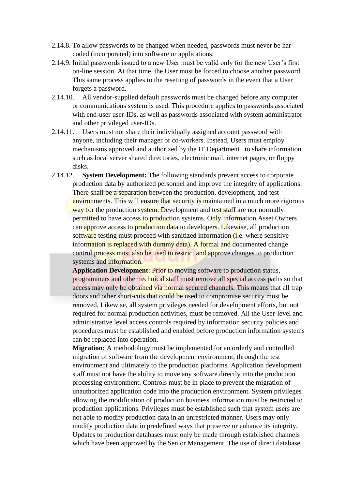- 2.14.8. To allow passwords to be changed when needed, passwords must never be harcoded (incorporated) into software or applications.
- 2.14.9. Initial passwords issued to a new User must be valid only for the new User's first on-line session. At that time, the User must be forced to choose another password. This same process applies to the resetting of passwords in the event that a User forgets a password.
- 2.14.10. All vendor-supplied default passwords must be changed before any computer or communications system is used. This procedure applies to passwords associated with end-user user-IDs, as well as passwords associated with system administrator and other privileged user-IDs.
- 2.14.11. Users must not share their individually assigned account password with anyone, including their manager or co-workers. Instead, Users must employ mechanisms approved and authorized by the IT Department to share information such as local server shared directories, electronic mail, internet pages, or floppy disks.
- 2.14.12. **System Development:** The following standards prevent access to corporate production data by authorized personnel and improve the integrity of applications: There shall be a separation between the production, development, and test environments. This will ensure that security is maintained in a much more rigorous way for the production system. Development and test staff are nor normally permitted to have access to production systems. Only Information Asset Owners can approve access to production data to developers. Likewise, all production software testing must proceed with sanitized information *(i.e.* where sensitive information is replaced with dummy data). A formal and documented change control process must also be used to restrict and approve changes to production systems and information.

**Application Development**: Prior to moving software to production status, programmers and other technical staff must remove all special access paths so that access may only be obtained via normal secured channels. This means that all trap doors and other short-cuts that could be used to compromise security must be removed. Likewise, all system privileges needed for development efforts, but not required for normal production activities, must be removed. All the User-level and administrative level access controls required by information security policies and procedures must be established and enabled before production information systems can be replaced into operation.

**Migration:** A methodology must be implemented for an orderly and controlled migration of software from the development environment, through the test environment and ultimately to the production platforms. Application development staff must not have the ability to move any software directly into the production processing environment. Controls must be in place to prevent the migration of unauthorized application code into the production environment. System privileges allowing the modification of production business information must be restricted to production applications. Privileges must be established such that system users are not able to modify production data in an unrestricted manner. Users may only modify production data in predefined ways that preserve or enhance its integrity. Updates to production databases must only be made through established channels which have been approved by the Senior Management. The use of direct database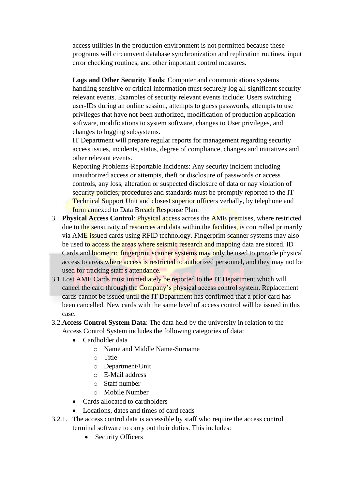access utilities in the production environment is not permitted because these programs will circumvent database synchronization and replication routines, input error checking routines, and other important control measures.

**Logs and Other Security Tools**: Computer and communications systems handling sensitive or critical information must securely log all significant security relevant events. Examples of security relevant events include: Users switching user-IDs during an online session, attempts to guess passwords, attempts to use privileges that have not been authorized, modification of production application software, modifications to system software, changes to User privileges, and changes to logging subsystems.

IT Department will prepare regular reports for management regarding security access issues, incidents, status, degree of compliance, changes and initiatives and other relevant events.

Reporting Problems-Reportable Incidents: Any security incident including unauthorized access or attempts, theft or disclosure of passwords or access controls, any loss, alteration or suspected disclosure of data or nay violation of security policies, procedures and standards must be promptly reported to the IT Technical Support Unit and closest superior officers verbally, by telephone and form annexed to Data Breach Response Plan.

- 3. **Physical Access Control**: Physical access across the AME premises, where restricted due to the sensitivity of resources and data within the facilities, is controlled primarily via AME issued cards using RFID technology. Fingerprint scanner systems may also be used to access the areas where seismic research and mapping data are stored. ID Cards and biometric fingerprint scanner systems may only be used to provide physical access to areas where access is restricted to authorized personnel, and they may not be used for tracking staff's attendance.
- 3.1.Lost AME Cards must immediately be reported to the IT Department which will cancel the card through the Company's physical access control system. Replacement cards cannot be issued until the IT Department has confirmed that a prior card has been cancelled. New cards with the same level of access control will be issued in this case.
- 3.2.**Access Control System Data**: The data held by the university in relation to the Access Control System includes the following categories of data:
	- Cardholder data
		- o Name and Middle Name-Surname
		- o Title
		- o Department/Unit
		- o E-Mail address
		- o Staff number
		- o Mobile Number
	- Cards allocated to cardholders
	- Locations, dates and times of card reads
- 3.2.1. The access control data is accessible by staff who require the access control terminal software to carry out their duties. This includes:
	- Security Officers